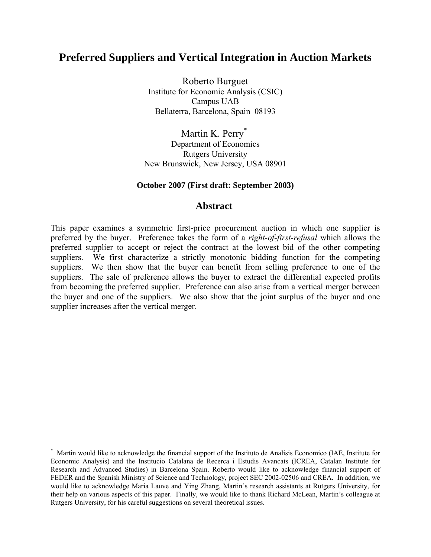# **Preferred Suppliers and Vertical Integration in Auction Markets**

Roberto Burguet Institute for Economic Analysis (CSIC) Campus UAB Bellaterra, Barcelona, Spain 08193

Martin K. Perry<sup>[\\*](#page-0-0)</sup> Department of Economics Rutgers University New Brunswick, New Jersey, USA 08901

# **October 2007 (First draft: September 2003)**

# **Abstract**

This paper examines a symmetric first-price procurement auction in which one supplier is preferred by the buyer. Preference takes the form of a *right-of-first-refusal* which allows the preferred supplier to accept or reject the contract at the lowest bid of the other competing suppliers. We first characterize a strictly monotonic bidding function for the competing suppliers. We then show that the buyer can benefit from selling preference to one of the suppliers. The sale of preference allows the buyer to extract the differential expected profits from becoming the preferred supplier. Preference can also arise from a vertical merger between the buyer and one of the suppliers. We also show that the joint surplus of the buyer and one supplier increases after the vertical merger.

<span id="page-0-0"></span>Martin would like to acknowledge the financial support of the Instituto de Analisis Economico (IAE, Institute for Economic Analysis) and the Institucio Catalana de Recerca i Estudis Avancats (ICREA, Catalan Institute for Research and Advanced Studies) in Barcelona Spain. Roberto would like to acknowledge financial support of FEDER and the Spanish Ministry of Science and Technology, project SEC 2002-02506 and CREA. In addition, we would like to acknowledge Maria Lauve and Ying Zhang, Martin's research assistants at Rutgers University, for their help on various aspects of this paper. Finally, we would like to thank Richard McLean, Martin's colleague at Rutgers University, for his careful suggestions on several theoretical issues.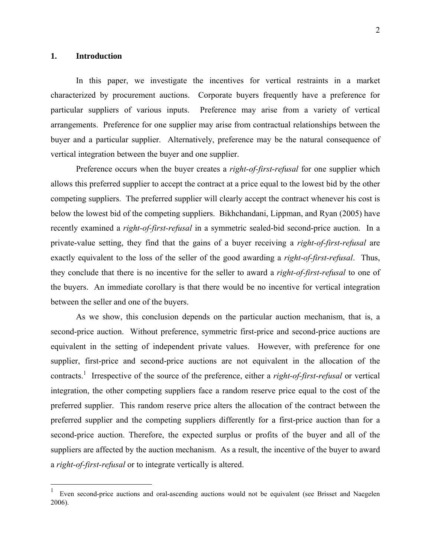#### **1. Introduction**

 $\overline{a}$ 

In this paper, we investigate the incentives for vertical restraints in a market characterized by procurement auctions. Corporate buyers frequently have a preference for particular suppliers of various inputs. Preference may arise from a variety of vertical arrangements. Preference for one supplier may arise from contractual relationships between the buyer and a particular supplier. Alternatively, preference may be the natural consequence of vertical integration between the buyer and one supplier.

Preference occurs when the buyer creates a *right-of-first-refusal* for one supplier which allows this preferred supplier to accept the contract at a price equal to the lowest bid by the other competing suppliers. The preferred supplier will clearly accept the contract whenever his cost is below the lowest bid of the competing suppliers. Bikhchandani, Lippman, and Ryan (2005) have recently examined a *right-of-first-refusal* in a symmetric sealed-bid second-price auction. In a private-value setting, they find that the gains of a buyer receiving a *right-of-first-refusal* are exactly equivalent to the loss of the seller of the good awarding a *right-of-first-refusal*. Thus, they conclude that there is no incentive for the seller to award a *right-of-first-refusal* to one of the buyers. An immediate corollary is that there would be no incentive for vertical integration between the seller and one of the buyers.

As we show, this conclusion depends on the particular auction mechanism, that is, a second-price auction. Without preference, symmetric first-price and second-price auctions are equivalent in the setting of independent private values. However, with preference for one supplier, first-price and second-price auctions are not equivalent in the allocation of the contracts.[1](#page-1-0) Irrespective of the source of the preference, either a *right-of-first-refusal* or vertical integration, the other competing suppliers face a random reserve price equal to the cost of the preferred supplier. This random reserve price alters the allocation of the contract between the preferred supplier and the competing suppliers differently for a first-price auction than for a second-price auction. Therefore, the expected surplus or profits of the buyer and all of the suppliers are affected by the auction mechanism. As a result, the incentive of the buyer to award a *right-of-first-refusal* or to integrate vertically is altered.

<span id="page-1-0"></span>Even second-price auctions and oral-ascending auctions would not be equivalent (see Brisset and Naegelen 2006).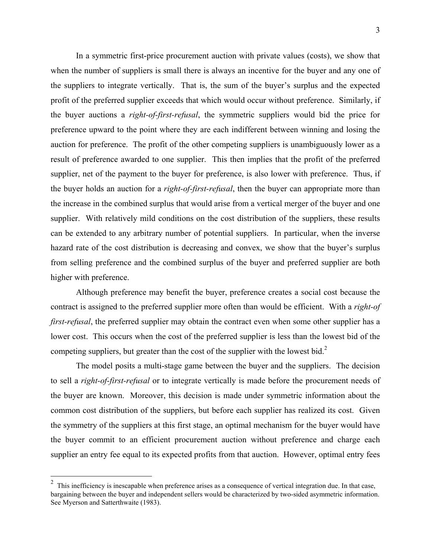In a symmetric first-price procurement auction with private values (costs), we show that when the number of suppliers is small there is always an incentive for the buyer and any one of the suppliers to integrate vertically. That is, the sum of the buyer's surplus and the expected profit of the preferred supplier exceeds that which would occur without preference. Similarly, if the buyer auctions a *right-of-first-refusal*, the symmetric suppliers would bid the price for preference upward to the point where they are each indifferent between winning and losing the auction for preference. The profit of the other competing suppliers is unambiguously lower as a result of preference awarded to one supplier. This then implies that the profit of the preferred supplier, net of the payment to the buyer for preference, is also lower with preference. Thus, if the buyer holds an auction for a *right-of-first-refusal*, then the buyer can appropriate more than the increase in the combined surplus that would arise from a vertical merger of the buyer and one supplier. With relatively mild conditions on the cost distribution of the suppliers, these results can be extended to any arbitrary number of potential suppliers. In particular, when the inverse hazard rate of the cost distribution is decreasing and convex, we show that the buyer's surplus from selling preference and the combined surplus of the buyer and preferred supplier are both higher with preference.

Although preference may benefit the buyer, preference creates a social cost because the contract is assigned to the preferred supplier more often than would be efficient. With a *right-of first-refusal*, the preferred supplier may obtain the contract even when some other supplier has a lower cost. This occurs when the cost of the preferred supplier is less than the lowest bid of the competing suppliers, but greater than the cost of the supplier with the lowest bid.<sup>[2](#page-2-0)</sup>

The model posits a multi-stage game between the buyer and the suppliers. The decision to sell a *right-of-first-refusal* or to integrate vertically is made before the procurement needs of the buyer are known. Moreover, this decision is made under symmetric information about the common cost distribution of the suppliers, but before each supplier has realized its cost. Given the symmetry of the suppliers at this first stage, an optimal mechanism for the buyer would have the buyer commit to an efficient procurement auction without preference and charge each supplier an entry fee equal to its expected profits from that auction. However, optimal entry fees

<span id="page-2-0"></span> $2$  This inefficiency is inescapable when preference arises as a consequence of vertical integration due. In that case, bargaining between the buyer and independent sellers would be characterized by two-sided asymmetric information. See Myerson and Satterthwaite (1983).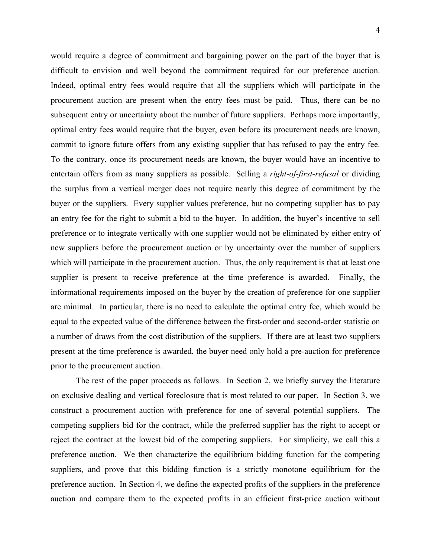would require a degree of commitment and bargaining power on the part of the buyer that is difficult to envision and well beyond the commitment required for our preference auction. Indeed, optimal entry fees would require that all the suppliers which will participate in the procurement auction are present when the entry fees must be paid. Thus, there can be no subsequent entry or uncertainty about the number of future suppliers. Perhaps more importantly, optimal entry fees would require that the buyer, even before its procurement needs are known, commit to ignore future offers from any existing supplier that has refused to pay the entry fee. To the contrary, once its procurement needs are known, the buyer would have an incentive to entertain offers from as many suppliers as possible. Selling a *right-of-first-refusal* or dividing the surplus from a vertical merger does not require nearly this degree of commitment by the buyer or the suppliers. Every supplier values preference, but no competing supplier has to pay an entry fee for the right to submit a bid to the buyer. In addition, the buyer's incentive to sell preference or to integrate vertically with one supplier would not be eliminated by either entry of new suppliers before the procurement auction or by uncertainty over the number of suppliers which will participate in the procurement auction. Thus, the only requirement is that at least one supplier is present to receive preference at the time preference is awarded. Finally, the informational requirements imposed on the buyer by the creation of preference for one supplier are minimal. In particular, there is no need to calculate the optimal entry fee, which would be equal to the expected value of the difference between the first-order and second-order statistic on a number of draws from the cost distribution of the suppliers. If there are at least two suppliers present at the time preference is awarded, the buyer need only hold a pre-auction for preference prior to the procurement auction.

The rest of the paper proceeds as follows. In Section 2, we briefly survey the literature on exclusive dealing and vertical foreclosure that is most related to our paper. In Section 3, we construct a procurement auction with preference for one of several potential suppliers. The competing suppliers bid for the contract, while the preferred supplier has the right to accept or reject the contract at the lowest bid of the competing suppliers. For simplicity, we call this a preference auction. We then characterize the equilibrium bidding function for the competing suppliers, and prove that this bidding function is a strictly monotone equilibrium for the preference auction. In Section 4, we define the expected profits of the suppliers in the preference auction and compare them to the expected profits in an efficient first-price auction without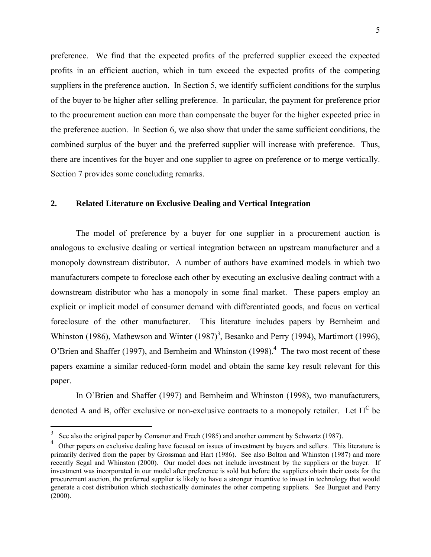preference. We find that the expected profits of the preferred supplier exceed the expected profits in an efficient auction, which in turn exceed the expected profits of the competing suppliers in the preference auction. In Section 5, we identify sufficient conditions for the surplus of the buyer to be higher after selling preference. In particular, the payment for preference prior to the procurement auction can more than compensate the buyer for the higher expected price in the preference auction. In Section 6, we also show that under the same sufficient conditions, the combined surplus of the buyer and the preferred supplier will increase with preference. Thus, there are incentives for the buyer and one supplier to agree on preference or to merge vertically. Section 7 provides some concluding remarks.

#### **2. Related Literature on Exclusive Dealing and Vertical Integration**

The model of preference by a buyer for one supplier in a procurement auction is analogous to exclusive dealing or vertical integration between an upstream manufacturer and a monopoly downstream distributor. A number of authors have examined models in which two manufacturers compete to foreclose each other by executing an exclusive dealing contract with a downstream distributor who has a monopoly in some final market. These papers employ an explicit or implicit model of consumer demand with differentiated goods, and focus on vertical foreclosure of the other manufacturer. This literature includes papers by Bernheim and Whinston (1986), Mathewson and Winter  $(1987)^3$  $(1987)^3$ , Besanko and Perry (1994), Martimort (1996), O'Brien and Shaffer (1997), and Bernheim and Whinston (1998).<sup>4</sup> The two most recent of these papers examine a similar reduced-form model and obtain the same key result relevant for this paper.

In O'Brien and Shaffer (1997) and Bernheim and Whinston (1998), two manufacturers, denoted A and B, offer exclusive or non-exclusive contracts to a monopoly retailer. Let  $\Pi^C$  be

<span id="page-4-0"></span><sup>&</sup>lt;sup>3</sup> See also the original paper by Comanor and Frech (1985) and another comment by Schwartz (1987).

<span id="page-4-1"></span><sup>&</sup>lt;sup>4</sup> Other papers on exclusive dealing have focused on issues of investment by buyers and sellers. This literature is primarily derived from the paper by Grossman and Hart (1986). See also Bolton and Whinston (1987) and more recently Segal and Whinston (2000). Our model does not include investment by the suppliers or the buyer. If investment was incorporated in our model after preference is sold but before the suppliers obtain their costs for the procurement auction, the preferred supplier is likely to have a stronger incentive to invest in technology that would generate a cost distribution which stochastically dominates the other competing suppliers. See Burguet and Perry  $(2000)$ .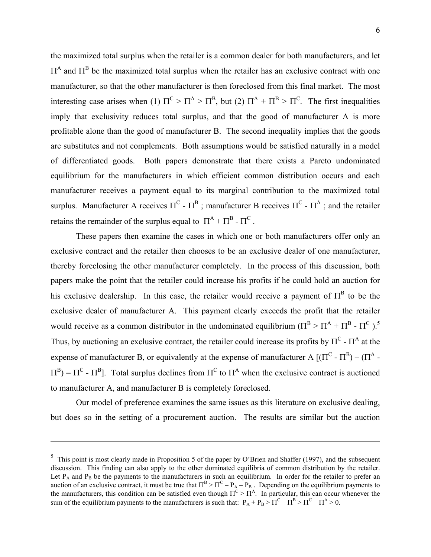the maximized total surplus when the retailer is a common dealer for both manufacturers, and let  $\Pi^A$  and  $\Pi^B$  be the maximized total surplus when the retailer has an exclusive contract with one manufacturer, so that the other manufacturer is then foreclosed from this final market. The most interesting case arises when (1)  $\Pi^C > \Pi^A > \Pi^B$ , but (2)  $\Pi^A + \Pi^B > \Pi^C$ . The first inequalities imply that exclusivity reduces total surplus, and that the good of manufacturer A is more profitable alone than the good of manufacturer B. The second inequality implies that the goods are substitutes and not complements. Both assumptions would be satisfied naturally in a model of differentiated goods. Both papers demonstrate that there exists a Pareto undominated equilibrium for the manufacturers in which efficient common distribution occurs and each manufacturer receives a payment equal to its marginal contribution to the maximized total surplus. Manufacturer A receives  $\Pi^C \cdot \Pi^B$ ; manufacturer B receives  $\Pi^C \cdot \Pi^A$ ; and the retailer retains the remainder of the surplus equal to  $\Pi^A + \Pi^B - \Pi^C$ .

These papers then examine the cases in which one or both manufacturers offer only an exclusive contract and the retailer then chooses to be an exclusive dealer of one manufacturer, thereby foreclosing the other manufacturer completely. In the process of this discussion, both papers make the point that the retailer could increase his profits if he could hold an auction for his exclusive dealership. In this case, the retailer would receive a payment of  $\Pi^B$  to be the exclusive dealer of manufacturer A. This payment clearly exceeds the profit that the retailer would receive as a common distributor in the undominated equilibrium ( $\Pi^B > \Pi^A + \Pi^B - \Pi^C$ ).<sup>[5](#page-5-0)</sup> Thus, by auctioning an exclusive contract, the retailer could increase its profits by  $\Pi^C$  -  $\Pi^A$  at the expense of manufacturer B, or equivalently at the expense of manufacturer A  $[(\Pi^C \cdot \Pi^B) - (\Pi^A \cdot \Pi^C)]$  $\Pi^{\text{B}}$ ) =  $\Pi^{\text{C}}$  -  $\Pi^{\text{B}}$ ]. Total surplus declines from  $\Pi^{\text{C}}$  to  $\Pi^{\text{A}}$  when the exclusive contract is auctioned to manufacturer A, and manufacturer B is completely foreclosed.

Our model of preference examines the same issues as this literature on exclusive dealing, but does so in the setting of a procurement auction. The results are similar but the auction

<span id="page-5-0"></span> $\frac{5}{5}$  This point is most clearly made in Proposition 5 of the paper by O'Brien and Shaffer (1997), and the subsequent discussion. This finding can also apply to the other dominated equilibria of common distribution by the retailer. Let  $P_A$  and  $P_B$  be the payments to the manufacturers in such an equilibrium. In order for the retailer to prefer an auction of an exclusive contract, it must be true that  $\Pi^B > \Pi^C - P_A - P_B$ . Depending on the equilibrium payments to the manufacturers, this condition can be satisfied even though  $\Pi^C > \Pi^A$ . In particular, this can occur whenever the sum of the equilibrium payments to the manufacturers is such that:  $P_A + P_B > \Pi^C - \Pi^B > \Pi^C - \Pi^A > 0$ .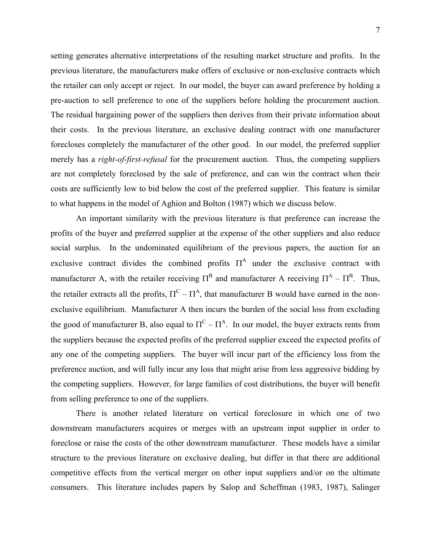setting generates alternative interpretations of the resulting market structure and profits. In the previous literature, the manufacturers make offers of exclusive or non-exclusive contracts which the retailer can only accept or reject. In our model, the buyer can award preference by holding a pre-auction to sell preference to one of the suppliers before holding the procurement auction. The residual bargaining power of the suppliers then derives from their private information about their costs. In the previous literature, an exclusive dealing contract with one manufacturer forecloses completely the manufacturer of the other good. In our model, the preferred supplier merely has a *right-of-first-refusal* for the procurement auction. Thus, the competing suppliers are not completely foreclosed by the sale of preference, and can win the contract when their costs are sufficiently low to bid below the cost of the preferred supplier. This feature is similar to what happens in the model of Aghion and Bolton (1987) which we discuss below.

An important similarity with the previous literature is that preference can increase the profits of the buyer and preferred supplier at the expense of the other suppliers and also reduce social surplus. In the undominated equilibrium of the previous papers, the auction for an exclusive contract divides the combined profits  $\Pi^A$  under the exclusive contract with manufacturer A, with the retailer receiving  $\Pi^B$  and manufacturer A receiving  $\Pi^A - \Pi^B$ . Thus, the retailer extracts all the profits,  $\Pi^C - \Pi^A$ , that manufacturer B would have earned in the nonexclusive equilibrium. Manufacturer A then incurs the burden of the social loss from excluding the good of manufacturer B, also equal to  $\Pi^C - \Pi^A$ . In our model, the buyer extracts rents from the suppliers because the expected profits of the preferred supplier exceed the expected profits of any one of the competing suppliers. The buyer will incur part of the efficiency loss from the preference auction, and will fully incur any loss that might arise from less aggressive bidding by the competing suppliers. However, for large families of cost distributions, the buyer will benefit from selling preference to one of the suppliers.

There is another related literature on vertical foreclosure in which one of two downstream manufacturers acquires or merges with an upstream input supplier in order to foreclose or raise the costs of the other downstream manufacturer. These models have a similar structure to the previous literature on exclusive dealing, but differ in that there are additional competitive effects from the vertical merger on other input suppliers and/or on the ultimate consumers. This literature includes papers by Salop and Scheffman (1983, 1987), Salinger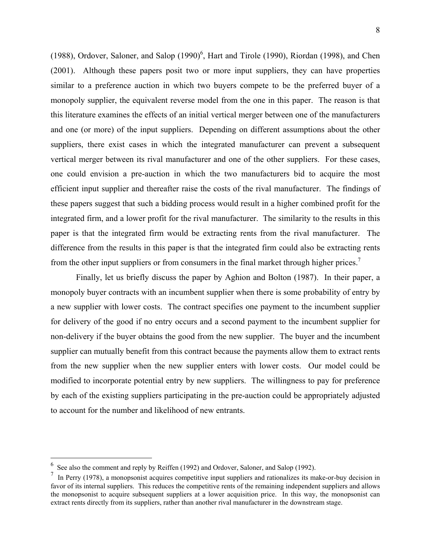(1988), Ordover, Saloner, and Salop  $(1990)^6$  $(1990)^6$ , Hart and Tirole (1990), Riordan (1998), and Chen (2001). Although these papers posit two or more input suppliers, they can have properties similar to a preference auction in which two buyers compete to be the preferred buyer of a monopoly supplier, the equivalent reverse model from the one in this paper. The reason is that this literature examines the effects of an initial vertical merger between one of the manufacturers and one (or more) of the input suppliers. Depending on different assumptions about the other suppliers, there exist cases in which the integrated manufacturer can prevent a subsequent vertical merger between its rival manufacturer and one of the other suppliers. For these cases, one could envision a pre-auction in which the two manufacturers bid to acquire the most efficient input supplier and thereafter raise the costs of the rival manufacturer. The findings of these papers suggest that such a bidding process would result in a higher combined profit for the integrated firm, and a lower profit for the rival manufacturer. The similarity to the results in this paper is that the integrated firm would be extracting rents from the rival manufacturer. The difference from the results in this paper is that the integrated firm could also be extracting rents from the other input suppliers or from consumers in the final market through higher prices.<sup>[7](#page-7-1)</sup>

Finally, let us briefly discuss the paper by Aghion and Bolton (1987). In their paper, a monopoly buyer contracts with an incumbent supplier when there is some probability of entry by a new supplier with lower costs. The contract specifies one payment to the incumbent supplier for delivery of the good if no entry occurs and a second payment to the incumbent supplier for non-delivery if the buyer obtains the good from the new supplier. The buyer and the incumbent supplier can mutually benefit from this contract because the payments allow them to extract rents from the new supplier when the new supplier enters with lower costs. Our model could be modified to incorporate potential entry by new suppliers. The willingness to pay for preference by each of the existing suppliers participating in the pre-auction could be appropriately adjusted to account for the number and likelihood of new entrants.

<span id="page-7-0"></span>See also the comment and reply by Reiffen (1992) and Ordover, Saloner, and Salop (1992).

<span id="page-7-1"></span><sup>7</sup> In Perry (1978), a monopsonist acquires competitive input suppliers and rationalizes its make-or-buy decision in favor of its internal suppliers. This reduces the competitive rents of the remaining independent suppliers and allows the monopsonist to acquire subsequent suppliers at a lower acquisition price. In this way, the monopsonist can extract rents directly from its suppliers, rather than another rival manufacturer in the downstream stage.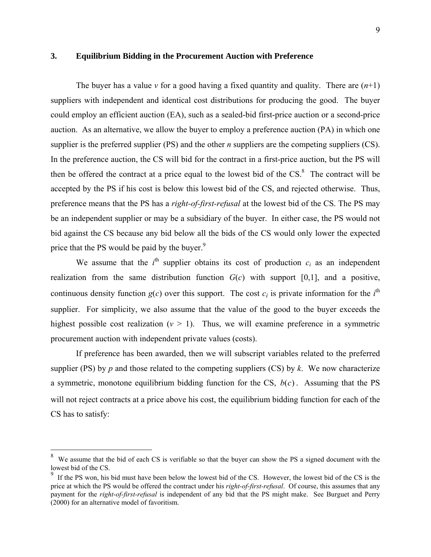### **3. Equilibrium Bidding in the Procurement Auction with Preference**

The buyer has a value  $\nu$  for a good having a fixed quantity and quality. There are  $(n+1)$ suppliers with independent and identical cost distributions for producing the good. The buyer could employ an efficient auction (EA), such as a sealed-bid first-price auction or a second-price auction. As an alternative, we allow the buyer to employ a preference auction (PA) in which one supplier is the preferred supplier (PS) and the other *n* suppliers are the competing suppliers (CS). In the preference auction, the CS will bid for the contract in a first-price auction, but the PS will then be offered the contract at a price equal to the lowest bid of the  $CS$ <sup>8</sup>. The contract will be accepted by the PS if his cost is below this lowest bid of the CS, and rejected otherwise. Thus, preference means that the PS has a *right-of-first-refusal* at the lowest bid of the CS. The PS may be an independent supplier or may be a subsidiary of the buyer. In either case, the PS would not bid against the CS because any bid below all the bids of the CS would only lower the expected price that the PS would be paid by the buyer.<sup>9</sup>

We assume that the  $i<sup>th</sup>$  supplier obtains its cost of production  $c_i$  as an independent realization from the same distribution function  $G(c)$  with support  $[0,1]$ , and a positive, continuous density function  $g(c)$  over this support. The cost  $c_i$  is private information for the  $i^{\text{th}}$ supplier. For simplicity, we also assume that the value of the good to the buyer exceeds the highest possible cost realization  $(v > 1)$ . Thus, we will examine preference in a symmetric procurement auction with independent private values (costs).

If preference has been awarded, then we will subscript variables related to the preferred supplier (PS) by *p* and those related to the competing suppliers (CS) by *k*. We now characterize a symmetric, monotone equilibrium bidding function for the CS,  $b(c)$ . Assuming that the PS will not reject contracts at a price above his cost, the equilibrium bidding function for each of the CS has to satisfy:

<span id="page-8-0"></span> $8\text{ }$  We assume that the bid of each CS is verifiable so that the buyer can show the PS a signed document with the lowest bid of the CS.

<span id="page-8-1"></span><sup>&</sup>lt;sup>9</sup> If the PS won, his bid must have been below the lowest bid of the CS. However, the lowest bid of the CS is the price at which the PS would be offered the contract under his *right-of-first-refusal*. Of course, this assumes that any payment for the *right-of-first-refusal* is independent of any bid that the PS might make. See Burguet and Perry (2000) for an alternative model of favoritism.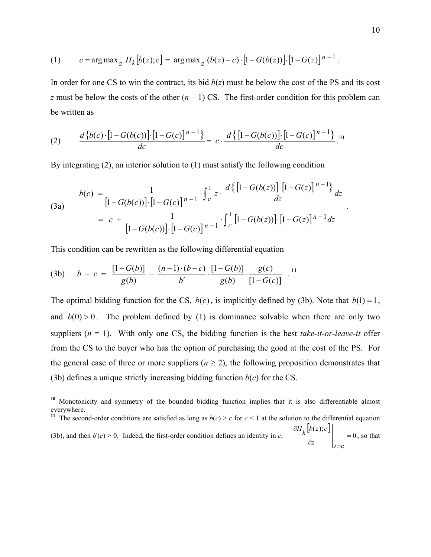<span id="page-9-0"></span>(1) 
$$
c = \arg \max_{z} \prod_{k} [b(z); c] = \arg \max_{z} (b(z) - c) \cdot [1 - G(b(z))] \cdot [1 - G(z)]^{n-1}.
$$

In order for one CS to win the contract, its bid  $b(z)$  must be below the cost of the PS and its cost *z* must be below the costs of the other  $(n - 1)$  CS. The first-order condition for this problem can be written as

(2) 
$$
\frac{d\{b(c)\cdot[1-G(b(c))]\cdot[1-G(c)]^{n-1}\}}{dc} = c \cdot \frac{d\{[1-G(b(c))]\cdot[1-G(c)]^{n-1}\}}{dc}.
$$

By integrating (2), an interior solution to (1) must satisfy the following condition

(3a)  

$$
b(c) = \frac{1}{[1 - G(b(c))] \cdot [1 - G(c)]^{n-1}} \cdot \int_{c}^{1} z \cdot \frac{d\{[1 - G(b(z))] \cdot [1 - G(z)]^{n-1}\}}{dz} dz
$$

$$
= c + \frac{1}{[1 - G(b(c))] \cdot [1 - G(c)]^{n-1}} \cdot \int_{c}^{1} [1 - G(b(z))] \cdot [1 - G(z)]^{n-1} dz
$$

This condition can be rewritten as the following differential equation

 $\overline{a}$ 

(3b) 
$$
b - c = \frac{[1 - G(b)]}{g(b)} - \frac{(n-1) \cdot (b-c)}{b'} \cdot \frac{[1 - G(b)]}{g(b)} \cdot \frac{g(c)}{[1 - G(c)]}
$$

The optimal bidding function for the CS,  $b(c)$ , is implicitly defined by (3b). Note that  $b(1) = 1$ , and  $b(0) > 0$ . The problem defined by (1) is dominance solvable when there are only two suppliers  $(n = 1)$ . With only one CS, the bidding function is the best *take-it-or-leave-it* offer from the CS to the buyer who has the option of purchasing the good at the cost of the PS. For the general case of three or more suppliers ( $n \ge 2$ ), the following proposition demonstrates that (3b) defines a unique strictly increasing bidding function  $b(c)$  for the CS.

.

 $z = c$ 

**<sup>10</sup>** Monotonicity and symmetry of the bounded bidding function implies that it is also differentiable almost everywhere.

<sup>&</sup>lt;sup>11</sup> The second-order conditions are satisfied as long as  $b(c) > c$  for  $c < 1$  at the solution to the differential equation (3b), and then  $b'(c) > 0$ . Indeed, the first-order condition defines an identity in *c*,  $[b(z); c]$ 0  $(z);$ =  $\partial z = \Big|_{z=0}$ ∂ *z*  $\left| \frac{dI_k(b(z);c)}{dt} \right|$  = 0, so that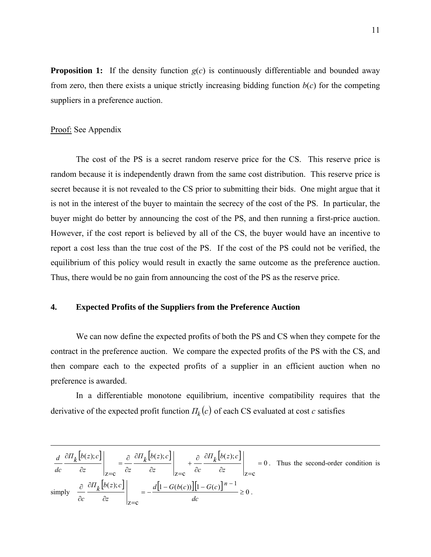**Proposition 1:** If the density function  $g(c)$  is continuously differentiable and bounded away from zero, then there exists a unique strictly increasing bidding function  $b(c)$  for the competing suppliers in a preference auction.

# Proof: See Appendix

The cost of the PS is a secret random reserve price for the CS. This reserve price is random because it is independently drawn from the same cost distribution. This reserve price is secret because it is not revealed to the CS prior to submitting their bids. One might argue that it is not in the interest of the buyer to maintain the secrecy of the cost of the PS. In particular, the buyer might do better by announcing the cost of the PS, and then running a first-price auction. However, if the cost report is believed by all of the CS, the buyer would have an incentive to report a cost less than the true cost of the PS. If the cost of the PS could not be verified, the equilibrium of this policy would result in exactly the same outcome as the preference auction. Thus, there would be no gain from announcing the cost of the PS as the reserve price.

# **4. Expected Profits of the Suppliers from the Preference Auction**

We can now define the expected profits of both the PS and CS when they compete for the contract in the preference auction. We compare the expected profits of the PS with the CS, and then compare each to the expected profits of a supplier in an efficient auction when no preference is awarded.

In a differentiable monotone equilibrium, incentive compatibility requires that the derivative of the expected profit function  $\Pi_k(c)$  of each CS evaluated at cost *c* satisfies

$$
\frac{d}{dc} \frac{\partial H_k[b(z);c]}{\partial z}\Big|_{z=c} = \frac{\partial}{\partial z} \frac{\partial H_k[b(z);c]}{\partial z}\Big|_{z=c} + \frac{\partial}{\partial c} \frac{\partial H_k[b(z);c]}{\partial z}\Big|_{z=c} = 0.
$$
 Thus the second-order condition is simply\n
$$
\frac{\partial}{\partial c} \frac{\partial H_k[b(z);c]}{\partial z}\Big|_{z=c} = -\frac{d[1-G(b(c))][1-G(c)]^{n-1}}{dc} \ge 0.
$$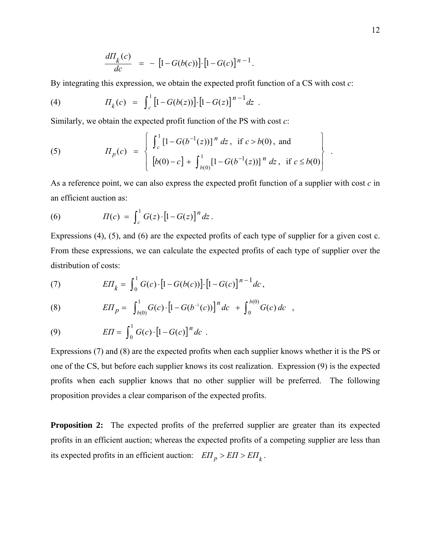$$
\frac{d\Pi_k(c)}{dc} = -[1 - G(b(c))] \cdot [1 - G(c)]^{n-1}.
$$

By integrating this expression, we obtain the expected profit function of a CS with cost *c*:

(4) 
$$
\Pi_k(c) = \int_c^1 [1 - G(b(z))] \cdot [1 - G(z)]^{n-1} dz.
$$

Similarly, we obtain the expected profit function of the PS with cost *c*:

(5) 
$$
I_{p}(c) = \begin{cases} \int_{c}^{1} [1 - G(b^{-1}(z))]^{n} dz, & \text{if } c > b(0), \text{ and} \\ [b(0) - c] + \int_{b(0)}^{1} [1 - G(b^{-1}(z))]^{n} dz, & \text{if } c \leq b(0) \end{cases}
$$

As a reference point, we can also express the expected profit function of a supplier with cost *c* in an efficient auction as:

(6) 
$$
\Pi(c) = \int_{c}^{1} G(z) \cdot [1 - G(z)]^{n} dz.
$$

Expressions (4), (5), and (6) are the expected profits of each type of supplier for a given cost c. From these expressions, we can calculate the expected profits of each type of supplier over the distribution of costs:

(7) 
$$
E\Pi_{k} = \int_{0}^{1} G(c) \cdot [1 - G(b(c))] \cdot [1 - G(c)]^{n-1} dc,
$$

(8) 
$$
E\Pi_p = \int_{b(0)}^1 G(c) \cdot \left[1 - G(b^{-1}(c))\right]^n dc + \int_0^{b(0)} G(c) dc,
$$

(9) 
$$
E\Pi = \int_0^1 G(c) \cdot [1 - G(c)]^n dc.
$$

Expressions (7) and (8) are the expected profits when each supplier knows whether it is the PS or one of the CS, but before each supplier knows its cost realization. Expression (9) is the expected profits when each supplier knows that no other supplier will be preferred. The following proposition provides a clear comparison of the expected profits.

**Proposition 2:** The expected profits of the preferred supplier are greater than its expected profits in an efficient auction; whereas the expected profits of a competing supplier are less than its expected profits in an efficient auction:  $E\Pi_p > E\Pi > E\Pi_k$ .

.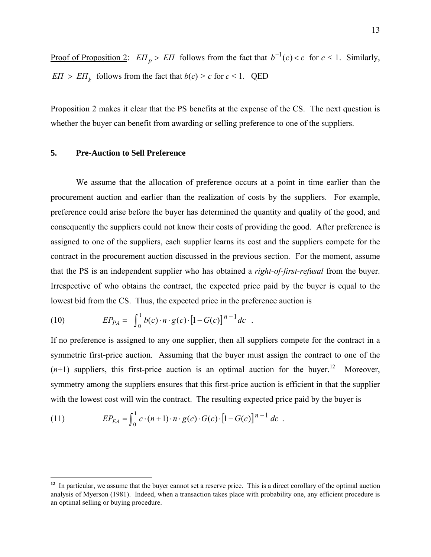Proof of Proposition 2:  $E\Pi_p > E\Pi$  follows from the fact that  $b^{-1}(c) < c$  for  $c < 1$ . Similarly, *EΠ*  $>$  *EΠ*<sub>*k*</sub> follows from the fact that *b*(*c*)  $>$  *c* for *c* < 1. QED

Proposition 2 makes it clear that the PS benefits at the expense of the CS. The next question is whether the buyer can benefit from awarding or selling preference to one of the suppliers.

# **5. Pre-Auction to Sell Preference**

We assume that the allocation of preference occurs at a point in time earlier than the procurement auction and earlier than the realization of costs by the suppliers. For example, preference could arise before the buyer has determined the quantity and quality of the good, and consequently the suppliers could not know their costs of providing the good. After preference is assigned to one of the suppliers, each supplier learns its cost and the suppliers compete for the contract in the procurement auction discussed in the previous section. For the moment, assume that the PS is an independent supplier who has obtained a *right-of-first-refusal* from the buyer. Irrespective of who obtains the contract, the expected price paid by the buyer is equal to the lowest bid from the CS. Thus, the expected price in the preference auction is

(10) 
$$
EP_{PA} = \int_0^1 b(c) \cdot n \cdot g(c) \cdot [1 - G(c)]^{n-1} dc.
$$

If no preference is assigned to any one supplier, then all suppliers compete for the contract in a symmetric first-price auction. Assuming that the buyer must assign the contract to one of the  $(n+1)$  suppliers, this first-price auction is an optimal auction for the buyer.<sup>12</sup> Moreover, symmetry among the suppliers ensures that this first-price auction is efficient in that the supplier with the lowest cost will win the contract. The resulting expected price paid by the buyer is

(11) 
$$
EP_{EA} = \int_0^1 c \cdot (n+1) \cdot n \cdot g(c) \cdot G(c) \cdot [1 - G(c)]^{n-1} dc.
$$

<span id="page-12-0"></span><sup>&</sup>lt;sup>12</sup> In particular, we assume that the buyer cannot set a reserve price. This is a direct corollary of the optimal auction analysis of Myerson (1981). Indeed, when a transaction takes place with probability one, any efficient procedure is an optimal selling or buying procedure.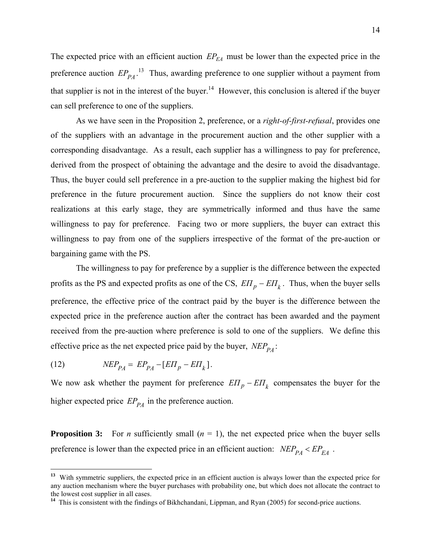The expected price with an efficient auction  $EP_{EA}$  must be lower than the expected price in the preference auction  $EP_{PA}$ .<sup>13</sup> Thus, awarding preference to one supplier without a payment from that supplier is not in the interest of the buyer.<sup>14</sup> However, this conclusion is altered if the buyer can sell preference to one of the suppliers.

As we have seen in the Proposition 2, preference, or a *right-of-first-refusal*, provides one of the suppliers with an advantage in the procurement auction and the other supplier with a corresponding disadvantage. As a result, each supplier has a willingness to pay for preference, derived from the prospect of obtaining the advantage and the desire to avoid the disadvantage. Thus, the buyer could sell preference in a pre-auction to the supplier making the highest bid for preference in the future procurement auction. Since the suppliers do not know their cost realizations at this early stage, they are symmetrically informed and thus have the same willingness to pay for preference. Facing two or more suppliers, the buyer can extract this willingness to pay from one of the suppliers irrespective of the format of the pre-auction or bargaining game with the PS.

The willingness to pay for preference by a supplier is the difference between the expected profits as the PS and expected profits as one of the CS,  $E\Pi_p - E\Pi_k$ . Thus, when the buyer sells preference, the effective price of the contract paid by the buyer is the difference between the expected price in the preference auction after the contract has been awarded and the payment received from the pre-auction where preference is sold to one of the suppliers. We define this effective price as the net expected price paid by the buyer,  $NEP_{PA}$ :

$$
(12) \t\t\tNEP_{PA} = EP_{PA} - [E\Pi_p - E\Pi_k].
$$

 $\overline{a}$ 

We now ask whether the payment for preference  $E\Pi_p - E\Pi_k$  compensates the buyer for the higher expected price  $EP_{P\ A}$  in the preference auction.

**Proposition 3:** For *n* sufficiently small  $(n = 1)$ , the net expected price when the buyer sells preference is lower than the expected price in an efficient auction:  $NEP_{PA} < EP_{EA}$ .

<span id="page-13-0"></span><sup>&</sup>lt;sup>13</sup> With symmetric suppliers, the expected price in an efficient auction is always lower than the expected price for any auction mechanism where the buyer purchases with probability one, but which does not allocate the contract to the lowest cost supplier in all cases.

<span id="page-13-1"></span><sup>&</sup>lt;sup>14</sup> This is consistent with the findings of Bikhchandani, Lippman, and Ryan (2005) for second-price auctions.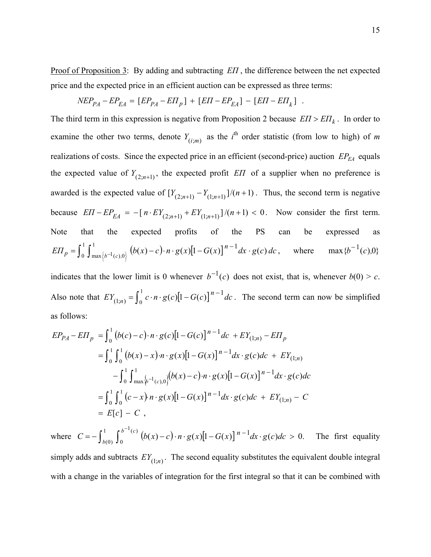Proof of Proposition 3: By adding and subtracting *EΠ* , the difference between the net expected price and the expected price in an efficient auction can be expressed as three terms:

$$
NEP_{PA} - EP_{EA} = [EP_{PA} - E\Pi_{p}] + [E\Pi - EP_{EA}] - [E\Pi - E\Pi_{k}] .
$$

The third term in this expression is negative from Proposition 2 because  $E\Pi > E\Pi_k$ . In order to examine the other two terms, denote  $Y_{(i;m)}$  as the *i*<sup>th</sup> order statistic (from low to high) of *m* realizations of costs. Since the expected price in an efficient (second-price) auction  $EP_{EA}$  equals the expected value of  $Y_{(2;n+1)}$ , the expected profit *EII* of a supplier when no preference is awarded is the expected value of  $[Y_{(2,n+1)} - Y_{(1,n+1)}]/(n+1)$ . Thus, the second term is negative  $\text{because } E \Pi - E P_{EA} = -\left[ n \cdot E Y_{(2; n+1)} + E Y_{(1; n+1)} \right] / (n+1) < 0.$  Now consider the first term. Note that the expected profits of the PS can be expressed as  $\int_0^1 \int_{\max\left\{b^{-1}(c),0\right\}}^1 \left(b(x)-c\right) \cdot n \cdot g(x) [1-G(x)]$  $=\int_0^1\int_{\max\left\{b^{-1}(c),0\right\}}^1\left(b(x)-c\right)\cdot n\cdot g(x)\left[1-G(x)\right]^{n-1}dx.$  $E\Pi_p = \int_0^1 \int_{\max\{b^{-1}(c),0\}}^1 (b(x)-c) \cdot n \cdot g(x) [1-G(x)]^{n-1} dx \cdot g(c) dc$  $p = \int_0^1 \int_{\text{max}}^1 \int_{b^{-1}(c)}^1 (b(x)-c) \cdot n \cdot g(x) [1-G(x)]^{n-1} dx \cdot g(c) dc$ , where  $\max \{b^{-1}(c), 0\}$ 

indicates that the lower limit is 0 whenever  $b^{-1}(c)$  does not exist, that is, whenever  $b(0) > c$ . Also note that  $EY_{(1;n)} = \int_0^1 c \cdot n \cdot g(c) [1 - G(c)]^{n-1} dc$  $J_{(1;n)} = \int_0^1 c \cdot n \cdot g(c) [1 - G(c)]^{n-1} dc$ . The second term can now be simplified as follows:

$$
EP_{PA} - E\Pi_{p} = \int_{0}^{1} (b(c) - c) \cdot n \cdot g(c) [1 - G(c)]^{n-1} dc + EY_{(1;n)} - E\Pi_{p}
$$
  
\n
$$
= \int_{0}^{1} \int_{0}^{1} (b(x) - x) \cdot n \cdot g(x) [1 - G(x)]^{n-1} dx \cdot g(c) dc + EY_{(1;n)}
$$
  
\n
$$
- \int_{0}^{1} \int_{\max}^{1} \langle b(x) - c \rangle \cdot n \cdot g(x) [1 - G(x)]^{n-1} dx \cdot g(c) dc
$$
  
\n
$$
= \int_{0}^{1} \int_{0}^{1} (c - x) \cdot n \cdot g(x) [1 - G(x)]^{n-1} dx \cdot g(c) dc + EY_{(1;n)} - C
$$
  
\n
$$
= E[c] - C,
$$

where  $C = -\int_{b(0)}^{1} \int_{0}^{b^{-1}(c)} (b(x)-c) \cdot n \cdot g(x) [1-G(x)]^{n-1} dx \cdot g(c) dc > 0.$  $\frac{1}{c}$  $C = -\int_{b(0)}^{1} \int_{0}^{b^{-1}(c)} (b(x) - c) \cdot n \cdot g(x) [1 - G(x)]^{n-1} dx \cdot g(c) dc > 0.$  The first equality

simply adds and subtracts  $EY_{(1;n)}$ . The second equality substitutes the equivalent double integral with a change in the variables of integration for the first integral so that it can be combined with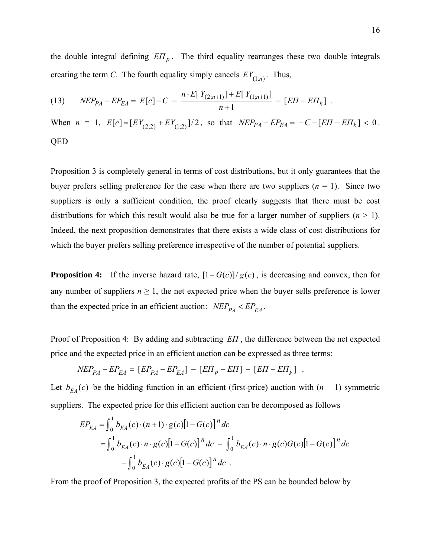the double integral defining  $E\Pi_p$ . The third equality rearranges these two double integrals creating the term *C*. The fourth equality simply cancels  $EY_{(1;n)}$ . Thus,

(13) 
$$
NEP_{PA} - EP_{EA} = E[c] - C - \frac{n \cdot E[Y_{(2;n+1)}] + E[Y_{(1;n+1)}]}{n+1} - [EH - ET_k].
$$

When  $n = 1$ ,  $E[c] = [EY_{(2:2)} + EY_{(1:2)}]/2$ , so that  $NEP_{PA} - EP_{EA} = -C - [EII - EII_k] < 0$ . QED

Proposition 3 is completely general in terms of cost distributions, but it only guarantees that the buyer prefers selling preference for the case when there are two suppliers  $(n = 1)$ . Since two suppliers is only a sufficient condition, the proof clearly suggests that there must be cost distributions for which this result would also be true for a larger number of suppliers  $(n \geq 1)$ . Indeed, the next proposition demonstrates that there exists a wide class of cost distributions for which the buyer prefers selling preference irrespective of the number of potential suppliers.

**Proposition 4:** If the inverse hazard rate,  $\left[1 - G(c)\right] / g(c)$ , is decreasing and convex, then for any number of suppliers  $n \geq 1$ , the net expected price when the buyer sells preference is lower than the expected price in an efficient auction:  $NEP_{PA} < EP_{EA}$ .

Proof of Proposition 4: By adding and subtracting *EΠ* , the difference between the net expected price and the expected price in an efficient auction can be expressed as three terms:

$$
NEP_{PA} - EP_{EA} = [EP_{PA} - EP_{EA}] - [EH_p - E\Pi] - [EH - ET_k] .
$$

Let  $b_{FA}(c)$  be the bidding function in an efficient (first-price) auction with  $(n + 1)$  symmetric suppliers. The expected price for this efficient auction can be decomposed as follows

$$
EP_{EA} = \int_0^1 b_{EA}(c) \cdot (n+1) \cdot g(c) [1 - G(c)]^n dc
$$
  
=  $\int_0^1 b_{EA}(c) \cdot n \cdot g(c) [1 - G(c)]^n dc - \int_0^1 b_{EA}(c) \cdot n \cdot g(c) G(c) [1 - G(c)]^n dc$   
+  $\int_0^1 b_{EA}(c) \cdot g(c) [1 - G(c)]^n dc$ .

From the proof of Proposition 3, the expected profits of the PS can be bounded below by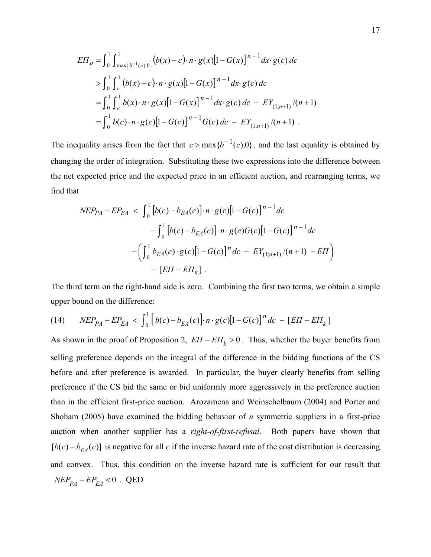$$
E\Pi_{p} = \int_{0}^{1} \int_{\max\left\{b^{-1}(c),0\right\}}^{1} \left(b(x)-c\right) \cdot n \cdot g(x) \left[1-G(x)\right]^{n-1} dx \cdot g(c) \, dc
$$
\n
$$
> \int_{0}^{1} \int_{c}^{1} \left(b(x)-c\right) \cdot n \cdot g(x) \left[1-G(x)\right]^{n-1} dx \cdot g(c) \, dc
$$
\n
$$
= \int_{0}^{1} \int_{c}^{1} b(x) \cdot n \cdot g(x) \left[1-G(x)\right]^{n-1} dx \cdot g(c) \, dc - EY_{(1;n+1)}/(n+1)
$$
\n
$$
= \int_{0}^{1} b(c) \cdot n \cdot g(c) \left[1-G(c)\right]^{n-1} G(c) \, dc - EY_{(1;n+1)}/(n+1) \, .
$$

The inequality arises from the fact that  $c > \max\{b^{-1}(c), 0\}$ , and the last equality is obtained by changing the order of integration. Substituting these two expressions into the difference between the net expected price and the expected price in an efficient auction, and rearranging terms, we find that

$$
NEP_{PA} - EP_{EA} < \int_0^1 \left[ b(c) - b_{EA}(c) \right] \cdot n \cdot g(c) \left[ 1 - G(c) \right]^{n-1} dc
$$
\n
$$
- \int_0^1 \left[ b(c) - b_{EA}(c) \right] \cdot n \cdot g(c) G(c) \left[ 1 - G(c) \right]^{n-1} dc
$$
\n
$$
- \left( \int_0^1 b_{EA}(c) \cdot g(c) \left[ 1 - G(c) \right]^{n} dc - EY_{(1; n+1)}/(n+1) - E\Pi \right)
$$
\n
$$
- \left[ EI - EI_{k} \right].
$$

The third term on the right-hand side is zero. Combining the first two terms, we obtain a simple upper bound on the difference:

(14) 
$$
NEP_{PA} - EP_{EA} < \int_0^1 [b(c) - b_{EA}(c)] \cdot n \cdot g(c)[1 - G(c)]^n dc - [EII - ET_k]
$$

As shown in the proof of Proposition 2,  $E\Pi - E\Pi_k > 0$ . Thus, whether the buyer benefits from selling preference depends on the integral of the difference in the bidding functions of the CS before and after preference is awarded. In particular, the buyer clearly benefits from selling preference if the CS bid the same or bid uniformly more aggressively in the preference auction than in the efficient first-price auction. Arozamena and Weinschelbaum (2004) and Porter and Shoham (2005) have examined the bidding behavior of *n* symmetric suppliers in a first-price auction when another supplier has a *right-of-first-refusal*. Both papers have shown that  $[b(c) - b_{EA}(c)]$  is negative for all *c* if the inverse hazard rate of the cost distribution is decreasing and convex. Thus, this condition on the inverse hazard rate is sufficient for our result that  $NEP_{PA} - EP_{EA} < 0$ . QED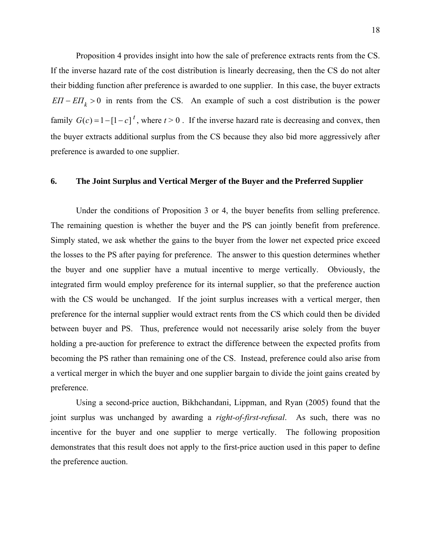Proposition 4 provides insight into how the sale of preference extracts rents from the CS. If the inverse hazard rate of the cost distribution is linearly decreasing, then the CS do not alter their bidding function after preference is awarded to one supplier. In this case, the buyer extracts  $E\Pi - E\Pi_k > 0$  in rents from the CS. An example of such a cost distribution is the power family  $G(c) = 1 - [1 - c]^t$ , where  $t > 0$ . If the inverse hazard rate is decreasing and convex, then the buyer extracts additional surplus from the CS because they also bid more aggressively after preference is awarded to one supplier.

#### **6. The Joint Surplus and Vertical Merger of the Buyer and the Preferred Supplier**

Under the conditions of Proposition 3 or 4, the buyer benefits from selling preference. The remaining question is whether the buyer and the PS can jointly benefit from preference. Simply stated, we ask whether the gains to the buyer from the lower net expected price exceed the losses to the PS after paying for preference. The answer to this question determines whether the buyer and one supplier have a mutual incentive to merge vertically. Obviously, the integrated firm would employ preference for its internal supplier, so that the preference auction with the CS would be unchanged. If the joint surplus increases with a vertical merger, then preference for the internal supplier would extract rents from the CS which could then be divided between buyer and PS. Thus, preference would not necessarily arise solely from the buyer holding a pre-auction for preference to extract the difference between the expected profits from becoming the PS rather than remaining one of the CS. Instead, preference could also arise from a vertical merger in which the buyer and one supplier bargain to divide the joint gains created by preference.

Using a second-price auction, Bikhchandani, Lippman, and Ryan (2005) found that the joint surplus was unchanged by awarding a *right-of-first-refusal*. As such, there was no incentive for the buyer and one supplier to merge vertically. The following proposition demonstrates that this result does not apply to the first-price auction used in this paper to define the preference auction.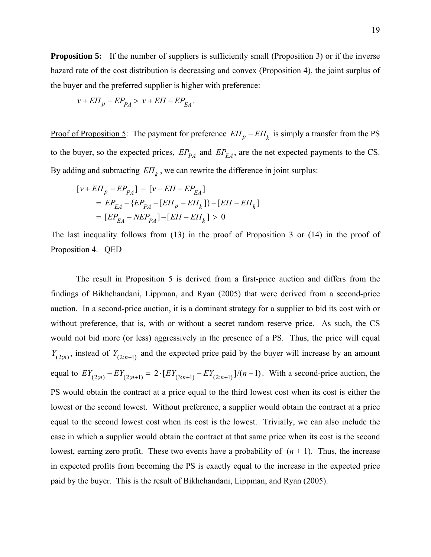**Proposition 5:** If the number of suppliers is sufficiently small (Proposition 3) or if the inverse hazard rate of the cost distribution is decreasing and convex (Proposition 4), the joint surplus of the buyer and the preferred supplier is higher with preference:

$$
v + E\Pi_p - EP_{PA} > v + E\Pi - EP_{EA}.
$$

Proof of Proposition 5: The payment for preference  $E\Pi_p - E\Pi_k$  is simply a transfer from the PS to the buyer, so the expected prices,  $EP_{PA}$  and  $EP_{EA}$ , are the net expected payments to the CS. By adding and subtracting  $E\mathbb{Z}$ , we can rewrite the difference in joint surplus:

$$
\begin{aligned} \left[ v + E \Pi_p - E P_{PA} \right] &- \left[ v + E \Pi - E P_{EA} \right] \\ & = E P_{EA} - \{ E P_{PA} - [E \Pi_p - E \Pi_k ] \} - [E \Pi - E \Pi_k ] \\ & = [E P_{EA} - N E P_{PA}] - [E \Pi - E \Pi_k ] > 0 \end{aligned}
$$

The last inequality follows from (13) in the proof of Proposition 3 or (14) in the proof of Proposition 4. QED

The result in Proposition 5 is derived from a first-price auction and differs from the findings of Bikhchandani, Lippman, and Ryan (2005) that were derived from a second-price auction. In a second-price auction, it is a dominant strategy for a supplier to bid its cost with or without preference, that is, with or without a secret random reserve price. As such, the CS would not bid more (or less) aggressively in the presence of a PS. Thus, the price will equal  $Y_{(2;n)}$ , instead of  $Y_{(2;n+1)}$  and the expected price paid by the buyer will increase by an amount equal to  $EY_{(2;n)} - EY_{(2;n+1)} = 2 \cdot [EY_{(3;n+1)} - EY_{(2;n+1)}]/(n+1)$ . With a second-price auction, the PS would obtain the contract at a price equal to the third lowest cost when its cost is either the lowest or the second lowest. Without preference, a supplier would obtain the contract at a price equal to the second lowest cost when its cost is the lowest. Trivially, we can also include the case in which a supplier would obtain the contract at that same price when its cost is the second lowest, earning zero profit. These two events have a probability of  $(n + 1)$ . Thus, the increase in expected profits from becoming the PS is exactly equal to the increase in the expected price paid by the buyer. This is the result of Bikhchandani, Lippman, and Ryan (2005).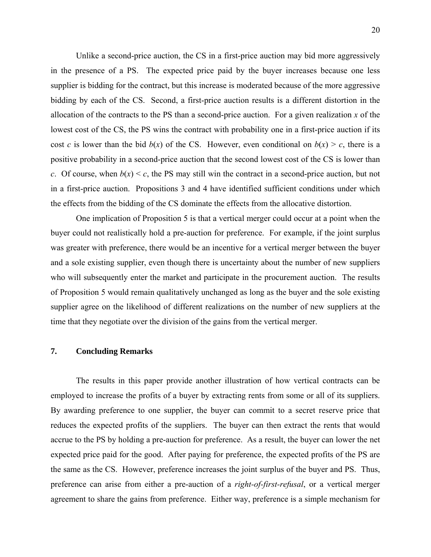Unlike a second-price auction, the CS in a first-price auction may bid more aggressively in the presence of a PS. The expected price paid by the buyer increases because one less supplier is bidding for the contract, but this increase is moderated because of the more aggressive bidding by each of the CS. Second, a first-price auction results is a different distortion in the allocation of the contracts to the PS than a second-price auction. For a given realization  $x$  of the lowest cost of the CS, the PS wins the contract with probability one in a first-price auction if its cost *c* is lower than the bid  $b(x)$  of the CS. However, even conditional on  $b(x) > c$ , there is a positive probability in a second-price auction that the second lowest cost of the CS is lower than *c*. Of course, when  $b(x) < c$ , the PS may still win the contract in a second-price auction, but not in a first-price auction. Propositions 3 and 4 have identified sufficient conditions under which the effects from the bidding of the CS dominate the effects from the allocative distortion.

One implication of Proposition 5 is that a vertical merger could occur at a point when the buyer could not realistically hold a pre-auction for preference. For example, if the joint surplus was greater with preference, there would be an incentive for a vertical merger between the buyer and a sole existing supplier, even though there is uncertainty about the number of new suppliers who will subsequently enter the market and participate in the procurement auction. The results of Proposition 5 would remain qualitatively unchanged as long as the buyer and the sole existing supplier agree on the likelihood of different realizations on the number of new suppliers at the time that they negotiate over the division of the gains from the vertical merger.

# **7. Concluding Remarks**

The results in this paper provide another illustration of how vertical contracts can be employed to increase the profits of a buyer by extracting rents from some or all of its suppliers. By awarding preference to one supplier, the buyer can commit to a secret reserve price that reduces the expected profits of the suppliers. The buyer can then extract the rents that would accrue to the PS by holding a pre-auction for preference. As a result, the buyer can lower the net expected price paid for the good. After paying for preference, the expected profits of the PS are the same as the CS. However, preference increases the joint surplus of the buyer and PS. Thus, preference can arise from either a pre-auction of a *right-of-first-refusal*, or a vertical merger agreement to share the gains from preference. Either way, preference is a simple mechanism for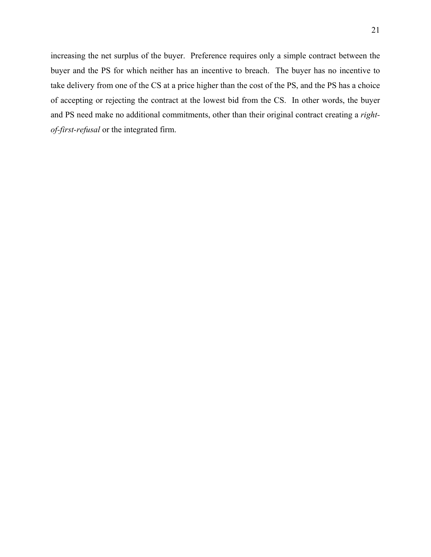increasing the net surplus of the buyer. Preference requires only a simple contract between the buyer and the PS for which neither has an incentive to breach. The buyer has no incentive to take delivery from one of the CS at a price higher than the cost of the PS, and the PS has a choice of accepting or rejecting the contract at the lowest bid from the CS. In other words, the buyer and PS need make no additional commitments, other than their original contract creating a *rightof-first-refusal* or the integrated firm.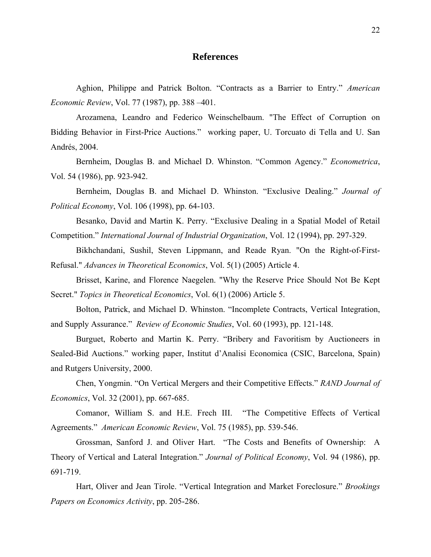# **References**

Aghion, Philippe and Patrick Bolton. "Contracts as a Barrier to Entry." *American Economic Review*, Vol. 77 (1987), pp. 388 –401.

Arozamena, Leandro and Federico Weinschelbaum. "The Effect of Corruption on Bidding Behavior in First-Price Auctions." working paper, U. Torcuato di Tella and U. San Andrés, 2004.

Bernheim, Douglas B. and Michael D. Whinston. "Common Agency." *Econometrica*, Vol. 54 (1986), pp. 923-942.

Bernheim, Douglas B. and Michael D. Whinston. "Exclusive Dealing." *Journal of Political Economy*, Vol. 106 (1998), pp. 64-103.

Besanko, David and Martin K. Perry. "Exclusive Dealing in a Spatial Model of Retail Competition." *International Journal of Industrial Organization*, Vol. 12 (1994), pp. 297-329.

Bikhchandani, Sushil, Steven Lippmann, and Reade Ryan. "On the Right-of-First-Refusal." *Advances in Theoretical Economics*, Vol. 5(1) (2005) Article 4.

Brisset, Karine, and Florence Naegelen. "Why the Reserve Price Should Not Be Kept Secret." *Topics in Theoretical Economics*, Vol. 6(1) (2006) Article 5.

Bolton, Patrick, and Michael D. Whinston. "Incomplete Contracts, Vertical Integration, and Supply Assurance." *Review of Economic Studies*, Vol. 60 (1993), pp. 121-148.

Burguet, Roberto and Martin K. Perry. "Bribery and Favoritism by Auctioneers in Sealed-Bid Auctions." working paper, Institut d'Analisi Economica (CSIC, Barcelona, Spain) and Rutgers University, 2000.

Chen, Yongmin. "On Vertical Mergers and their Competitive Effects." *RAND Journal of Economics*, Vol. 32 (2001), pp. 667-685.

Comanor, William S. and H.E. Frech III. "The Competitive Effects of Vertical Agreements." *American Economic Review*, Vol. 75 (1985), pp. 539-546.

Grossman, Sanford J. and Oliver Hart. "The Costs and Benefits of Ownership: A Theory of Vertical and Lateral Integration." *Journal of Political Economy*, Vol. 94 (1986), pp. 691-719.

Hart, Oliver and Jean Tirole. "Vertical Integration and Market Foreclosure." *Brookings Papers on Economics Activity*, pp. 205-286.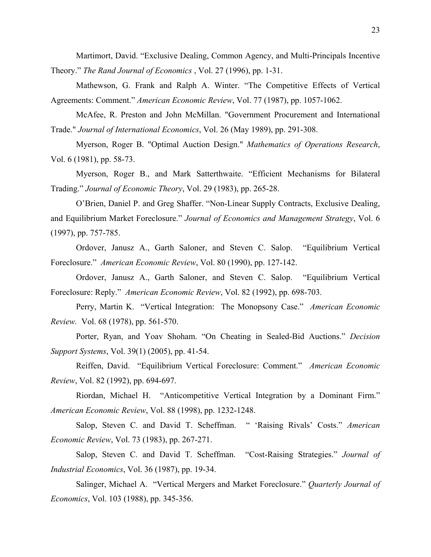Martimort, David. "Exclusive Dealing, Common Agency, and Multi-Principals Incentive Theory." *The Rand Journal of Economics* , Vol. 27 (1996), pp. 1-31.

Mathewson, G. Frank and Ralph A. Winter. "The Competitive Effects of Vertical Agreements: Comment." *American Economic Review*, Vol. 77 (1987), pp. 1057-1062.

McAfee, R. Preston and John McMillan. "Government Procurement and International Trade." *Journal of International Economics*, Vol. 26 (May 1989), pp. 291-308.

Myerson, Roger B. "Optimal Auction Design." *Mathematics of Operations Research*, Vol. 6 (1981), pp. 58-73.

Myerson, Roger B., and Mark Satterthwaite. "Efficient Mechanisms for Bilateral Trading." *Journal of Economic Theory*, Vol. 29 (1983), pp. 265-28.

O'Brien, Daniel P. and Greg Shaffer. "Non-Linear Supply Contracts, Exclusive Dealing, and Equilibrium Market Foreclosure." *Journal of Economics and Management Strategy*, Vol. 6 (1997), pp. 757-785.

Ordover, Janusz A., Garth Saloner, and Steven C. Salop. "Equilibrium Vertical Foreclosure." *American Economic Review*, Vol. 80 (1990), pp. 127-142.

Ordover, Janusz A., Garth Saloner, and Steven C. Salop. "Equilibrium Vertical Foreclosure: Reply." *American Economic Review*, Vol. 82 (1992), pp. 698-703.

Perry, Martin K. "Vertical Integration: The Monopsony Case." *American Economic Review.* Vol. 68 (1978), pp. 561-570.

Porter, Ryan, and [Yoav Shoham.](#page-0-0) "On Cheating in Sealed-Bid Auctions." *Decision Support Systems*, Vol. 39(1) (2005), pp. 41-54.

Reiffen, David. "Equilibrium Vertical Foreclosure: Comment." *American Economic Review*, Vol. 82 (1992), pp. 694-697.

Riordan, Michael H. "Anticompetitive Vertical Integration by a Dominant Firm." *American Economic Review*, Vol. 88 (1998), pp. 1232-1248.

Salop, Steven C. and David T. Scheffman. " 'Raising Rivals' Costs." *American Economic Review*, Vol. 73 (1983), pp. 267-271.

Salop, Steven C. and David T. Scheffman. "Cost-Raising Strategies." *Journal of Industrial Economics*, Vol. 36 (1987), pp. 19-34.

Salinger, Michael A. "Vertical Mergers and Market Foreclosure." *Quarterly Journal of Economics*, Vol. 103 (1988), pp. 345-356.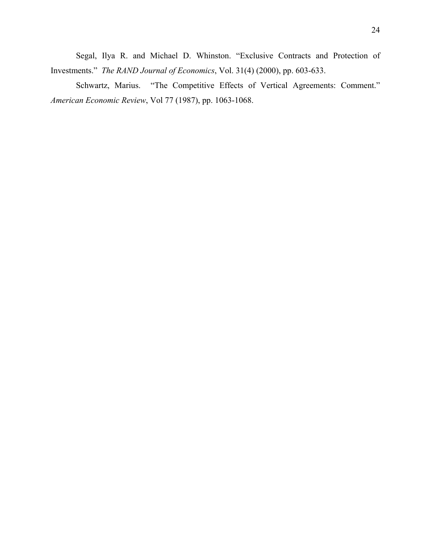Segal, Ilya R. and Michael D. Whinston. "Exclusive Contracts and Protection of Investments." *The RAND Journal of Economics*, Vol. 31(4) (2000), pp. 603-633.

Schwartz, Marius. "The Competitive Effects of Vertical Agreements: Comment." *American Economic Review*, Vol 77 (1987), pp. 1063-1068.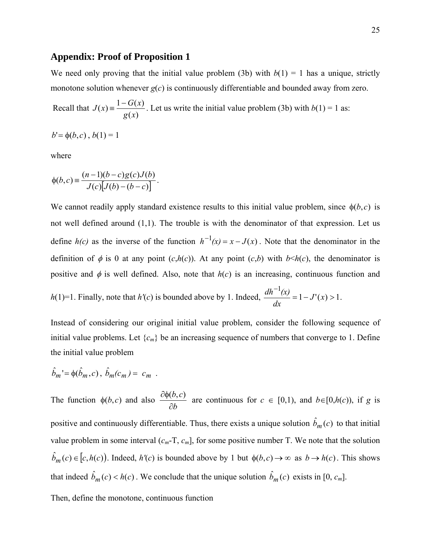#### **Appendix: Proof of Proposition 1**

We need only proving that the initial value problem (3b) with  $b(1) = 1$  has a unique, strictly monotone solution whenever  $g(c)$  is continuously differentiable and bounded away from zero.

 Recall that  $\left( x\right)$  $f(x) = \frac{1 - G(x)}{x}$ *g x*  $J(x) = \frac{1 - G(x)}{x}$ . Let us write the initial value problem (3b) with  $b(1) = 1$  as:

 $b' = \phi(b, c)$ ,  $b(1) = 1$ 

where

$$
\phi(b,c) \equiv \frac{(n-1)(b-c)g(c)J(b)}{J(c)[J(b)-(b-c)]}.
$$

We cannot readily apply standard existence results to this initial value problem, since  $\phi(b,c)$  is not well defined around (1,1). The trouble is with the denominator of that expression. Let us define  $h(c)$  as the inverse of the function  $h^{-1}(x) = x - J(x)$ . Note that the denominator in the definition of  $\phi$  is 0 at any point  $(c, h(c))$ . At any point  $(c, b)$  with  $b \leq h(c)$ , the denominator is positive and  $\phi$  is well defined. Also, note that  $h(c)$  is an increasing, continuous function and

$$
h(1)=1
$$
. Finally, note that  $h'(c)$  is bounded above by 1. Indeed, 
$$
\frac{dh^{-1}(x)}{dx} = 1 - J'(x) > 1.
$$

Instead of considering our original initial value problem, consider the following sequence of initial value problems. Let  $\{c_m\}$  be an increasing sequence of numbers that converge to 1. Define the initial value problem

$$
\hat{b}_m = \phi(\hat{b}_m, c), \ \hat{b}_m(c_m) = c_m.
$$

The function  $\phi(b,c)$  and also *b*  $b, c$ ∂  $\frac{\partial \phi(b,c)}{\partial (c)}$  are continuous for  $c \in [0,1)$ , and  $b \in [0,h(c))$ , if *g* is positive and continuously differentiable. Thus, there exists a unique solution  $\hat{b}_m(c)$  to that initial value problem in some interval  $(c_m - T, c_m]$ , for some positive number T. We note that the solution  $\hat{b}_m(c) \in [c, h(c)]$ . Indeed,  $h'(c)$  is bounded above by 1 but  $\phi(b, c) \to \infty$  as  $b \to h(c)$ . This shows that indeed  $\hat{b}_m(c) < h(c)$ . We conclude that the unique solution  $\hat{b}_m(c)$  exists in [0,  $c_m$ ].

Then, define the monotone, continuous function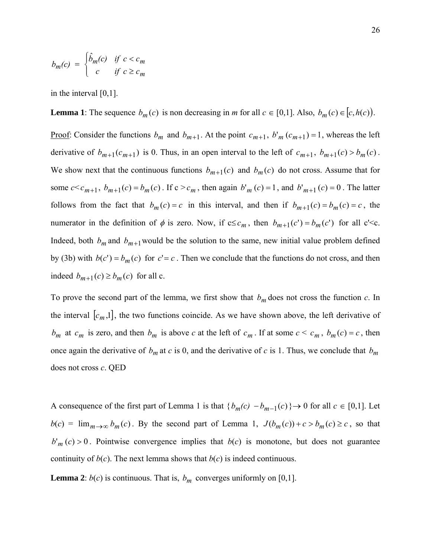$$
b_m(c) = \begin{cases} \hat{b}_m(c) & \text{if } c < c_m \\ c & \text{if } c \geq c_m \end{cases}
$$

in the interval [0,1].

**Lemma 1**: The sequence  $b_m(c)$  is non decreasing in *m* for all  $c \in [0,1]$ . Also,  $b_m(c) \in [c, h(c))$ .

<u>Proof</u>: Consider the functions  $b_m$  and  $b_{m+1}$ . At the point  $c_{m+1}$ ,  $b'_m$   $(c_{m+1}) = 1$ , whereas the left derivative of  $b_{m+1} (c_{m+1})$  is 0. Thus, in an open interval to the left of  $c_{m+1}$ ,  $b_{m+1} (c) > b_m (c)$ . We show next that the continuous functions  $b_{m+1}(c)$  and  $b_m(c)$  do not cross. Assume that for some  $c < c_{m+1}$ ,  $b_{m+1}(c) = b_m(c)$ . If  $c > c_m$ , then again  $b'_m(c) = 1$ , and  $b'_{m+1}(c) = 0$ . The latter follows from the fact that  $b_m(c) = c$  in this interval, and then if  $b_{m+1}(c) = b_m(c) = c$ , the numerator in the definition of  $\phi$  is zero. Now, if  $c \leq c_m$ , then  $b_{m+1}(c') = b_m(c')$  for all  $c' \leq c$ . Indeed, both  $b_m$  and  $b_{m+1}$  would be the solution to the same, new initial value problem defined by (3b) with  $b(c') = b_m(c)$  for  $c' = c$ . Then we conclude that the functions do not cross, and then indeed  $b_{m+1}(c) \ge b_m(c)$  for all c.

To prove the second part of the lemma, we first show that  $b_m$  does not cross the function  $c$ . In the interval  $[c_m,1]$ , the two functions coincide. As we have shown above, the left derivative of *b<sub>m</sub>* at  $c_m$  is zero, and then  $b_m$  is above *c* at the left of  $c_m$ . If at some  $c < c_m$ ,  $b_m(c) = c$ , then once again the derivative of  $b_m$  at  $c$  is 0, and the derivative of  $c$  is 1. Thus, we conclude that  $b_m$ does not cross *c*. QED

A consequence of the first part of Lemma 1 is that  ${b_m(c) - b_{m-1}(c)} \rightarrow 0$  for all  $c \in [0,1]$ . Let  $b(c) = \lim_{m \to \infty} b_m(c)$ . By the second part of Lemma 1,  $J(b_m(c)) + c > b_m(c) \ge c$ , so that  $b<sup>r</sup>$  *m* (*c*) > 0. Pointwise convergence implies that *b*(*c*) is monotone, but does not guarantee continuity of  $b(c)$ . The next lemma shows that  $b(c)$  is indeed continuous.

**Lemma 2**:  $b(c)$  is continuous. That is,  $b_m$  converges uniformly on [0,1].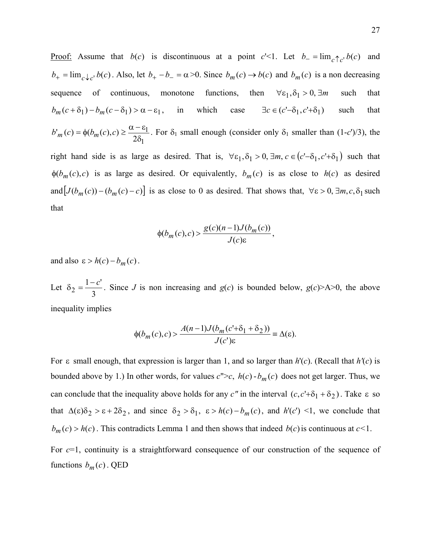Proof: Assume that  $b(c)$  is discontinuous at a point  $c' < 1$ . Let  $b = \lim_{c \uparrow c'} b(c)$  and  $b_+ = \lim_{c \to c^+} b(c)$ . Also, let  $b_+ - b_- = \alpha > 0$ . Since  $b_m(c) \to b(c)$  and  $b_m(c)$  is a non decreasing sequence of continuous, monotone functions, then  $\forall \varepsilon_1, \delta_1 > 0, \exists m$  such that  $b_m(c+\delta_1) - b_m(c-\delta_1) > \alpha - \varepsilon_1$ , in which case  $\exists c \in (c'-\delta_1, c'+\delta_1)$  such that 1  $b'_m(c) = \phi(b_m(c), c) \ge \frac{\alpha - \varepsilon_1}{2\delta_1}$ . For  $\delta_1$  small enough (consider only  $\delta_1$  smaller than  $(1-c')/3$ ), the right hand side is as large as desired. That is,  $\forall \varepsilon_1, \delta_1 > 0$ ,  $\exists m, c \in (c' - \delta_1, c' + \delta_1)$  such that  $\phi(b_m(c), c)$  is as large as desired. Or equivalently,  $b_m(c)$  is as close to  $h(c)$  as desired and  $[J(b_m(c)) - (b_m(c) - c)]$  is as close to 0 as desired. That shows that,  $\forall \varepsilon > 0, \exists m, c, \delta_1$  such that

$$
\phi(b_m(c),c) > \frac{g(c)(n-1)J(b_m(c))}{J(c)\varepsilon},
$$

and also  $\varepsilon > h(c) - b_m(c)$ .

Let 3  $1 - c'$  $\delta_2 = \frac{1-c'}{2}$ . Since *J* is non increasing and *g*(*c*) is bounded below, *g*(*c*)>A>0, the above inequality implies

$$
\phi(b_m(c), c) > \frac{A(n-1)J(b_m(c'+\delta_1+\delta_2))}{J(c')\varepsilon} \equiv \Delta(\varepsilon).
$$

For ε small enough, that expression is larger than 1, and so larger than *h*'(*c*). (Recall that *h'*(*c*) is bounded above by 1.) In other words, for values  $c''>c$ ,  $h(c)$  -  $b_m(c)$  does not get larger. Thus, we can conclude that the inequality above holds for any *c*" in the interval  $(c, c' + \delta_1 + \delta_2)$ . Take  $\varepsilon$  so that  $\Delta(\varepsilon)\delta_2 > \varepsilon + 2\delta_2$ , and since  $\delta_2 > \delta_1$ ,  $\varepsilon > h(c) - b_m(c)$ , and  $h'(c') < 1$ , we conclude that  $b_m(c) > h(c)$ . This contradicts Lemma 1 and then shows that indeed  $b(c)$  is continuous at  $c < 1$ .

For *c*=1, continuity is a straightforward consequence of our construction of the sequence of functions  $b_m(c)$ . QED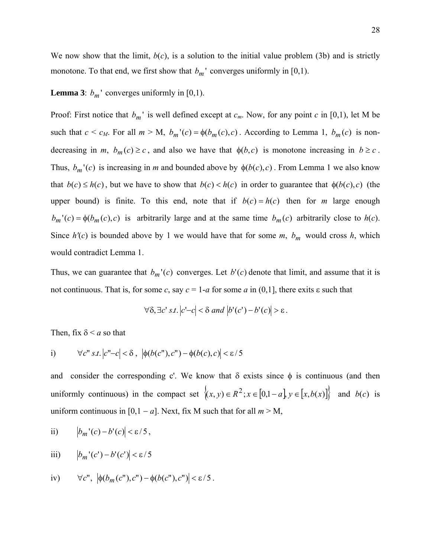We now show that the limit,  $b(c)$ , is a solution to the initial value problem (3b) and is strictly monotone. To that end, we first show that  $b_m$ <sup>'</sup> converges uniformly in [0,1).

# **Lemma 3**:  $b_m$ <sup> $\cdot$ </sup> converges uniformly in [0,1).

Proof: First notice that  $b_m$ ' is well defined except at  $c_m$ . Now, for any point  $c$  in [0,1), let M be such that  $c < c_M$ . For all  $m > M$ ,  $b_m$  '(*c*) =  $\phi(b_m(c), c)$ . According to Lemma 1,  $b_m(c)$  is nondecreasing in *m*,  $b_m(c) \ge c$ , and also we have that  $\phi(b,c)$  is monotone increasing in  $b \ge c$ . Thus,  $b_m$ <sup>'</sup>(*c*) is increasing in *m* and bounded above by  $\phi(b(c), c)$ . From Lemma 1 we also know that  $b(c) \le h(c)$ , but we have to show that  $b(c) < h(c)$  in order to guarantee that  $\phi(b(c), c)$  (the upper bound) is finite. To this end, note that if  $b(c) = h(c)$  then for *m* large enough  $b_m$ <sup> $\prime$ </sup>(*c*) =  $\phi$ ( $b_m$ (*c*),*c*) is arbitrarily large and at the same time  $b_m$ (*c*) arbitrarily close to *h*(*c*). Since  $h'(c)$  is bounded above by 1 we would have that for some *m*,  $b_m$  would cross *h*, which would contradict Lemma 1.

Thus, we can guarantee that  $b_m$ '(*c*) converges. Let  $b'(c)$  denote that limit, and assume that it is not continuous. That is, for some *c*, say  $c = 1-a$  for some *a* in (0,1), there exits  $\varepsilon$  such that

$$
\forall \delta, \exists c' \ s.t. \left| c' - c \right| < \delta \ and \ \left| b'(c') - b'(c) \right| > \varepsilon \, .
$$

Then, fix  $\delta \le a$  so that

i) 
$$
\forall c" s.t. |c" - c| < \delta, \, |\phi(b(c"), c") - \phi(b(c), c)| < \varepsilon / 5
$$

and consider the corresponding c'. We know that  $\delta$  exists since  $\phi$  is continuous (and then uniformly continuous) in the compact set  $\{(x, y) \in R^2 : x \in [0, 1 - a] \}$ ,  $y \in [x, b(x)]$  and  $b(c)$  is uniform continuous in [0,1 – *a*]. Next, fix M such that for all  $m > M$ ,

ii) 
$$
\left|b_m'(c)-b'(c)\right|<\varepsilon/5,
$$

iii) 
$$
\left|b_m'(c') - b'(c')\right| < \varepsilon / 5
$$

iv) 
$$
\forall c'', \left| \phi(b_m(c''), c'') - \phi(b(c''), c'') \right| < \varepsilon/5
$$
.